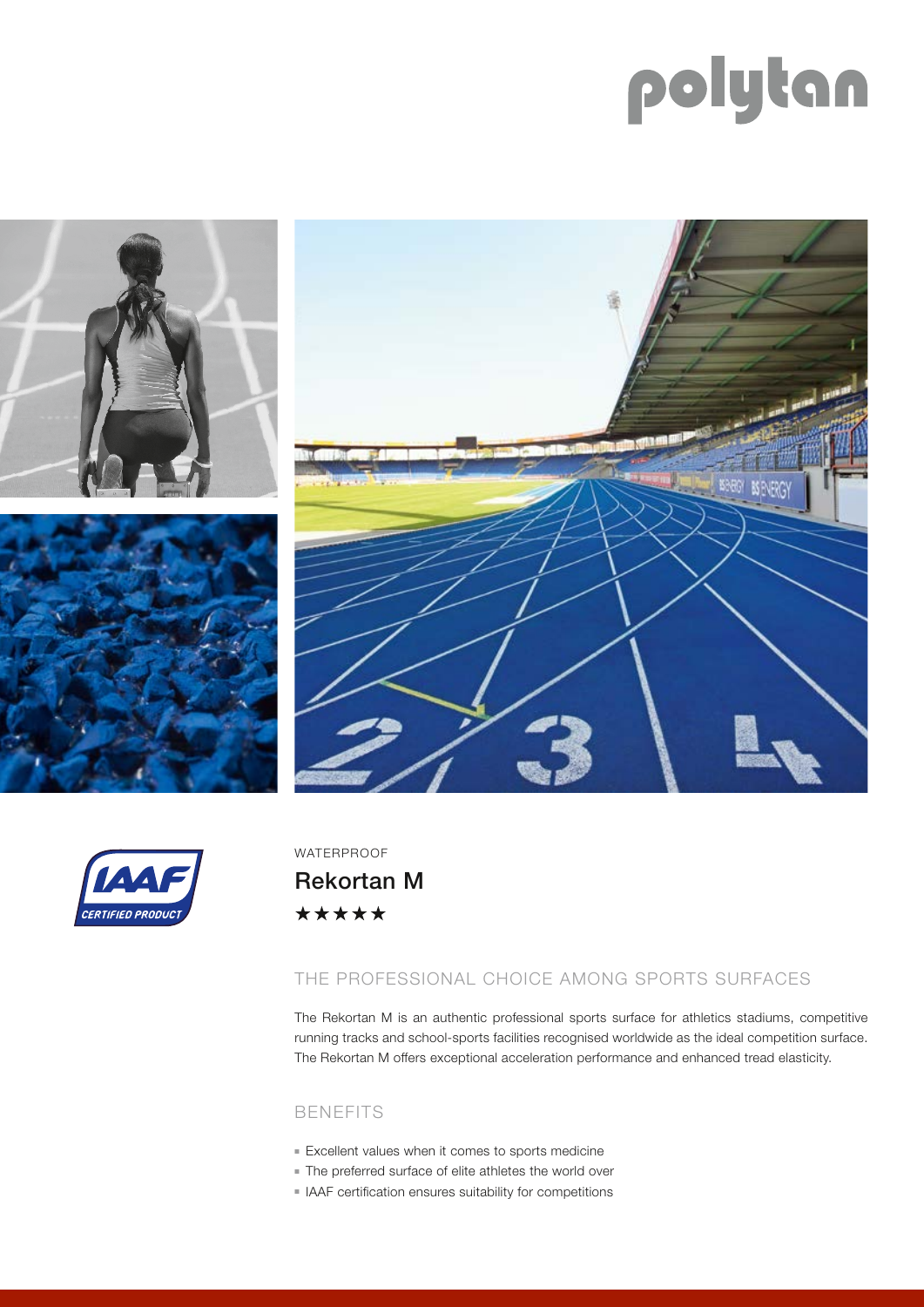# polytan







WATERPROOF

Rekortan M\*\*\*\*\*

## THE PROFESSIONAL CHOICE AMONG SPORTS SURFACES

The Rekortan M is an authentic professional sports surface for athletics stadiums, competitive running tracks and school-sports facilities recognised worldwide as the ideal competition surface. The Rekortan M offers exceptional acceleration performance and enhanced tread elasticity.

### BENEFITS

- Excellent values when it comes to sports medicine
- $\blacksquare$  The preferred surface of elite athletes the world over
- <sup>n</sup> IAAF certification ensures suitability for competitions